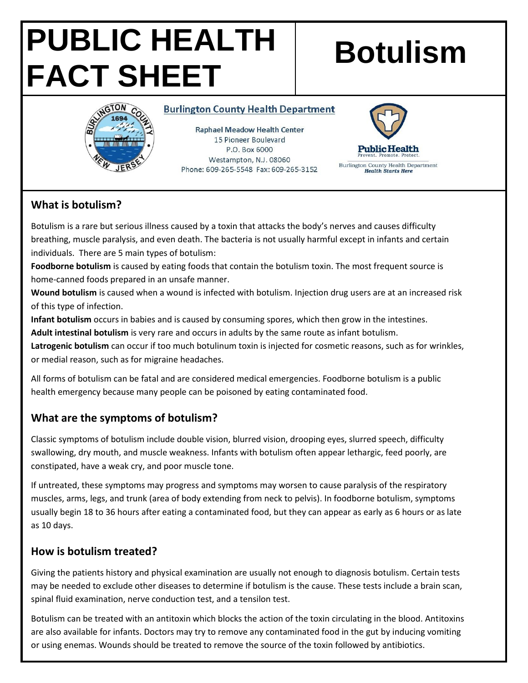# **PUBLIC HEALTH FACT SHEET**

# **Botulism**



#### **Burlington County Health Department**

**Raphael Meadow Health Center** 15 Pioneer Boulevard P.O. Box 6000 Westampton, N.J. 08060 Phone: 609-265-5548 Fax: 609-265-3152



### **What is botulism?**

Botulism is a rare but serious illness caused by a toxin that attacks the body's nerves and causes difficulty breathing, muscle paralysis, and even death. The bacteria is not usually harmful except in infants and certain individuals. There are 5 main types of botulism:

**Foodborne botulism** is caused by eating foods that contain the botulism toxin. The most frequent source is home-canned foods prepared in an unsafe manner.

**Wound botulism** is caused when a wound is infected with botulism. Injection drug users are at an increased risk of this type of infection.

**Infant botulism** occurs in babies and is caused by consuming spores, which then grow in the intestines.

**Adult intestinal botulism** is very rare and occurs in adults by the same route as infant botulism.

**Latrogenic botulism** can occur if too much botulinum toxin is injected for cosmetic reasons, such as for wrinkles, or medial reason, such as for migraine headaches.

All forms of botulism can be fatal and are considered medical emergencies. Foodborne botulism is a public health emergency because many people can be poisoned by eating contaminated food.

# **What are the symptoms of botulism?**

Classic symptoms of botulism include double vision, blurred vision, drooping eyes, slurred speech, difficulty swallowing, dry mouth, and muscle weakness. Infants with botulism often appear lethargic, feed poorly, are constipated, have a weak cry, and poor muscle tone.

If untreated, these symptoms may progress and symptoms may worsen to cause paralysis of the respiratory muscles, arms, legs, and trunk (area of body extending from neck to pelvis). In foodborne botulism, symptoms usually begin 18 to 36 hours after eating a contaminated food, but they can appear as early as 6 hours or as late as 10 days.

# **How is botulism treated?**

Giving the patients history and physical examination are usually not enough to diagnosis botulism. Certain tests may be needed to exclude other diseases to determine if botulism is the cause. These tests include a brain scan, spinal fluid examination, nerve conduction test, and a tensilon test.

Botulism can be treated with an antitoxin which blocks the action of the toxin circulating in the blood. Antitoxins are also available for infants. Doctors may try to remove any contaminated food in the gut by inducing vomiting or using enemas. Wounds should be treated to remove the source of the toxin followed by antibiotics.